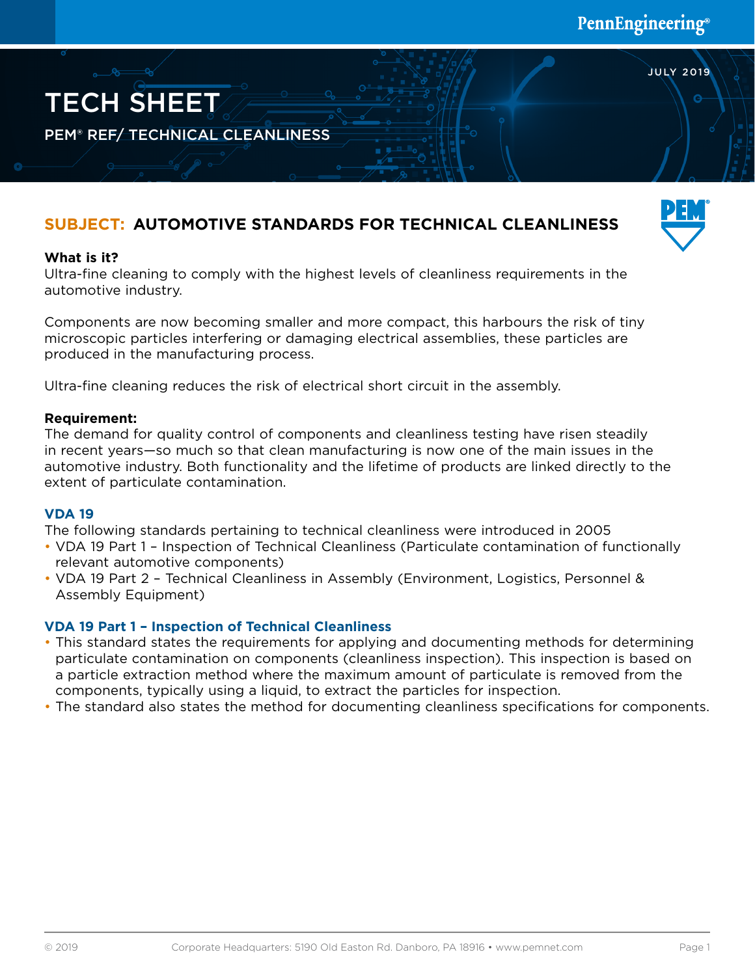# **SUBJECT: AUTOMOTIVE STANDARDS FOR TECHNICAL CLEANLINESS**



JULY 2019

## **What is it?**

TECH SHEET

PEM® REF/ TECHNICAL CLEANLINESS

Ultra-fine cleaning to comply with the highest levels of cleanliness requirements in the automotive industry.

Components are now becoming smaller and more compact, this harbours the risk of tiny microscopic particles interfering or damaging electrical assemblies, these particles are produced in the manufacturing process.

Ultra-fine cleaning reduces the risk of electrical short circuit in the assembly.

#### **Requirement:**

The demand for quality control of components and cleanliness testing have risen steadily in recent years—so much so that clean manufacturing is now one of the main issues in the automotive industry. Both functionality and the lifetime of products are linked directly to the extent of particulate contamination.

#### **VDA 19**

The following standards pertaining to technical cleanliness were introduced in 2005

- VDA 19 Part 1 Inspection of Technical Cleanliness (Particulate contamination of functionally relevant automotive components)
- VDA 19 Part 2 Technical Cleanliness in Assembly (Environment, Logistics, Personnel & Assembly Equipment)

#### **VDA 19 Part 1 – Inspection of Technical Cleanliness**

- This standard states the requirements for applying and documenting methods for determining particulate contamination on components (cleanliness inspection). This inspection is based on a particle extraction method where the maximum amount of particulate is removed from the components, typically using a liquid, to extract the particles for inspection.
- The standard also states the method for documenting cleanliness specifications for components.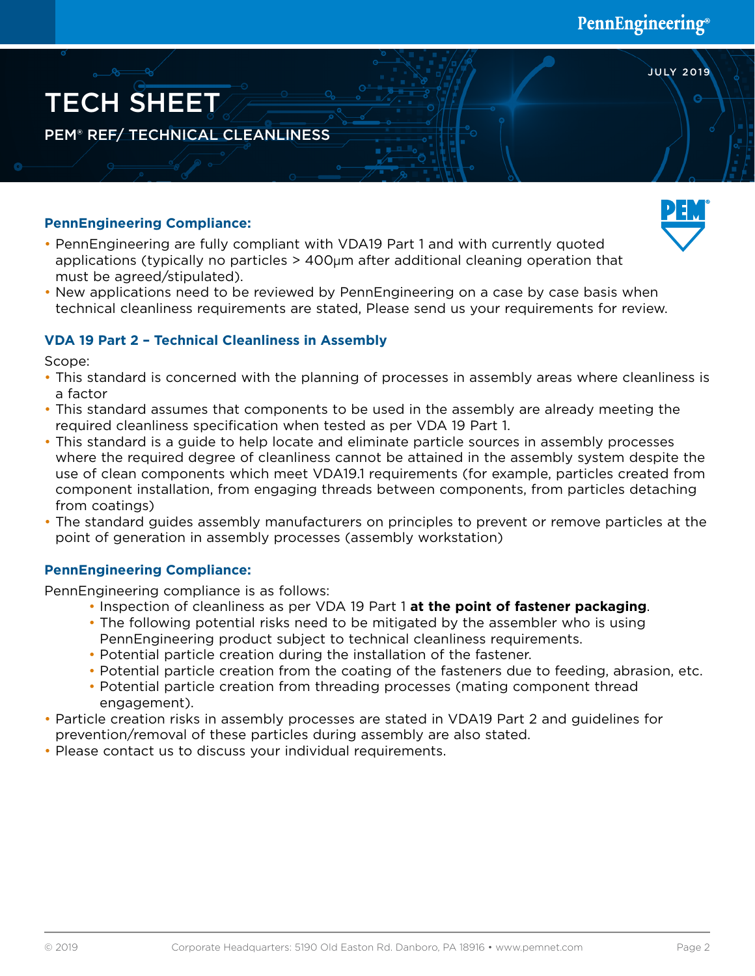JULY 2019



## **PennEngineering Compliance:**

- PennEngineering are fully compliant with VDA19 Part 1 and with currently quoted applications (typically no particles  $>$  400 $\mu$ m after additional cleaning operation that must be agreed/stipulated).
- New applications need to be reviewed by PennEngineering on a case by case basis when technical cleanliness requirements are stated, Please send us your requirements for review.

## **VDA 19 Part 2 – Technical Cleanliness in Assembly**

Scope:

- This standard is concerned with the planning of processes in assembly areas where cleanliness is a factor
- This standard assumes that components to be used in the assembly are already meeting the required cleanliness specification when tested as per VDA 19 Part 1.
- This standard is a guide to help locate and eliminate particle sources in assembly processes where the required degree of cleanliness cannot be attained in the assembly system despite the use of clean components which meet VDA19.1 requirements (for example, particles created from component installation, from engaging threads between components, from particles detaching from coatings)
- The standard guides assembly manufacturers on principles to prevent or remove particles at the point of generation in assembly processes (assembly workstation)

## **PennEngineering Compliance:**

PennEngineering compliance is as follows:

- Inspection of cleanliness as per VDA 19 Part 1 **at the point of fastener packaging**.
- The following potential risks need to be mitigated by the assembler who is using PennEngineering product subject to technical cleanliness requirements.
- Potential particle creation during the installation of the fastener.
- Potential particle creation from the coating of the fasteners due to feeding, abrasion, etc.
- Potential particle creation from threading processes (mating component thread engagement).
- Particle creation risks in assembly processes are stated in VDA19 Part 2 and guidelines for prevention/removal of these particles during assembly are also stated.
- Please contact us to discuss your individual requirements.